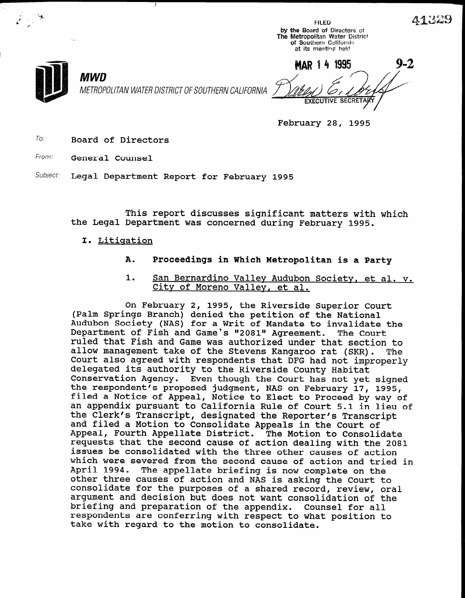FILED by the Board of Directors of The Metropolitan Water District of Southern California at its meeting held

i i bilan kasa da kasa da kasa da kasa da kasa da kasa da kasa da kasa da kasa da kasa da kasa da kasa da kasa

kr . .

I

' p/

L 1990 - La Company de la Company de la Company de la Company de la Company de la Company de la Company de la

-,

MWD METROPOLITAN WATER DISTRICT OF SOUTHERN CALIFORNIA

**MAR 14 1995 EXECUTIVE SECRETA** 

February 28, 1995

To: Board of Directors

From: **General Counsel** 

Subject: Legal Department Report for February 1995

This report discusses significant matters with which the Legal Department was concerned during February 1995.

- I. Litigation
	- A. Proceedings in Which Metropolitan is a Party
	- 1. San Bernardino Valley Audubon Society, et al. v. City of Moreno Vallev, et al.

On February 2, 1995, the Riverside Superior Court (Palm Springs Branch) denied the Riverside Superior C<br>(Palm Springs Branch) denimi (Faim Springs Branch) denied the petition of the National<br>Audubon Society (NIS) for a With of Mandate the Sales the th Audubon Society (NAS) for a writ of Mandate to invalidate<br>Department of Fish and Game's 12001" Agreement. The Court Department of Fish and Game's "2081" Agreement. The Court ruled that Fish and Game was authorized under that section to allow management take of the Stevens Kangaroo rat (SKR). The allow management take of the Stevens Kangaroo rat (SKR). Court also agreed with respondents that DFG had not improperly delegated its authority to the Riverside County Habitat Conservation Agency. Even though the Court has not yet signed the respondent's proposed judgment, NAS on February 17, 1995, filed a Notice of Appeal, Notice to Elect to Proceed by way of an appendix pursuant to California Rule of Court 5.1 in lieu of the Clerk's Transcript, designated the Reporter's Transcript and filed a Motion to Consolidate Appeals in the Court of Appeal, Fourth Appellate District. The Motion to Consolidate requests that the second cause of action dealing with the 2081 issues be consolidated with the three other causes of action which were severed from the second cause of action and tried in April 1994. The appellate briefing is now complete on the other three causes of action and NAS is asking the Court to consolidate for the purposes of a shared record, review, oral argument and decision but does not want consolidation of the briefing and preparation of the appendix. Counsel for all respondents are conferring with respect to what position to take with regard to the motion to consolidate.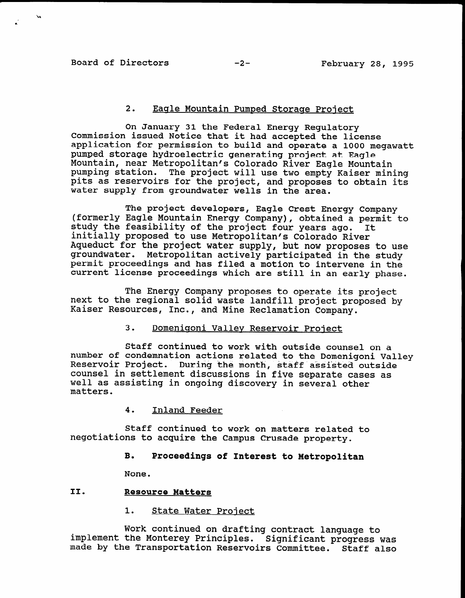# 2. Eagle Mountain Pumped Storaae Project

On January 31 the Federal Energy Regulatory Commission issued Notice that it had accepted the license application for permission to build and operate a 1000 megawatt pumped storage hydroelectric generating project at Eagle Mountain, near Metropolitan's Colorado River Eagle Mountain pumping station. The project will use two empty Kaiser mining pits as reservoirs for the project, and proposes to obtain its water supply from groundwater wells in the area.

The project developers, Eagle Crest Energy Company (formerly Eagle Mountain Energy Company), obtained a permit to study the feasibility of the project four years ago. It initially proposed to use Metropolitan's Colorado River Aqueduct for the project water supply, but now proposes to use ngueuuct for the project water supply, but how proposes to us permit proceedings and has filed a motion to intervene in the permit proceedings and has filed a motion to intervene in the current license proceedings which are still in an early phase.

The Energy Company proposes to operate its project next to the regional solid waste landfill project proposed by Kaiser Resources, Inc., and Mine Reclamation Company.

## 3. Domeniqoni Valley Reservoir Project

Staff continued to work with outside counsel on a bur of continued to work with outside counsel on a number of condemnation actions related to the Domenigoni Van Andrews assistance of the month, state of the mon Reservoir Project. During the month, staff assisted outside counsel in settlement discussions in five separate cases as well as assisting in ongoing discovery in several other matters.

## 4. Inland Feeder

 $\mathbf{S}$  continued to work on  $\mathbf{S}$  and  $\mathbf{S}$  and  $\mathbf{S}$  related to  $\mathbf{S}$  and  $\mathbf{S}$  and  $\mathbf{S}$  are lated to  $\mathbf{S}$  and  $\mathbf{S}$  are lated to  $\mathbf{S}$  and  $\mathbf{S}$  are lated to  $\mathbf{S}$  and  $\mathbf{S}$  are l negotiations to acquire the Campus Crusade property. Staff continued to work on matters relat

### B. Proceedings of Interest to Metropolitan

Work continued on drafting contract language to implement the Monterey Principles. Significant progress was made by the Transportation Reservoirs Committee. Staff also